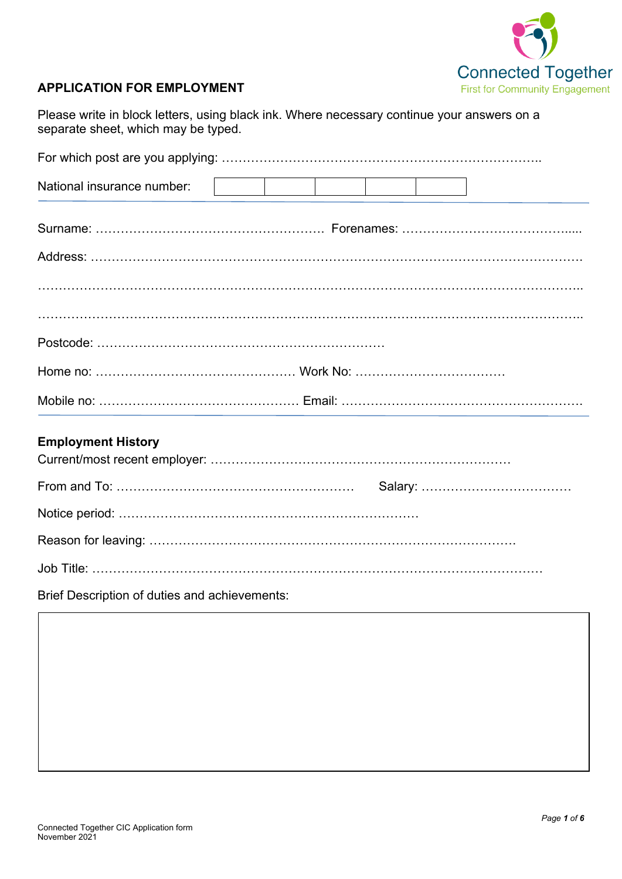

## **APPLICATION FOR EMPLOYMENT**

Please write in block letters, using black ink. Where necessary continue your answers on a separate sheet, which may be typed.

| National insurance number:                                         |  |  |  |
|--------------------------------------------------------------------|--|--|--|
|                                                                    |  |  |  |
|                                                                    |  |  |  |
|                                                                    |  |  |  |
|                                                                    |  |  |  |
|                                                                    |  |  |  |
|                                                                    |  |  |  |
| <b>Employment History</b>                                          |  |  |  |
|                                                                    |  |  |  |
|                                                                    |  |  |  |
|                                                                    |  |  |  |
|                                                                    |  |  |  |
| <b>Detail Descriptions</b> of all these seals which is a second of |  |  |  |

Brief Description of duties and achievements: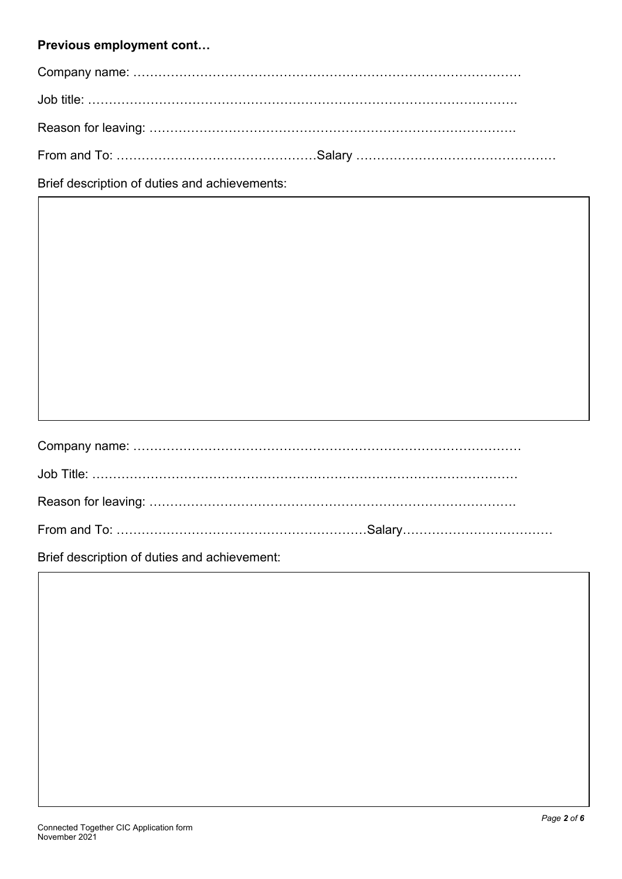## **Previous employment cont…**

Brief description of duties and achievements:

Brief description of duties and achievement: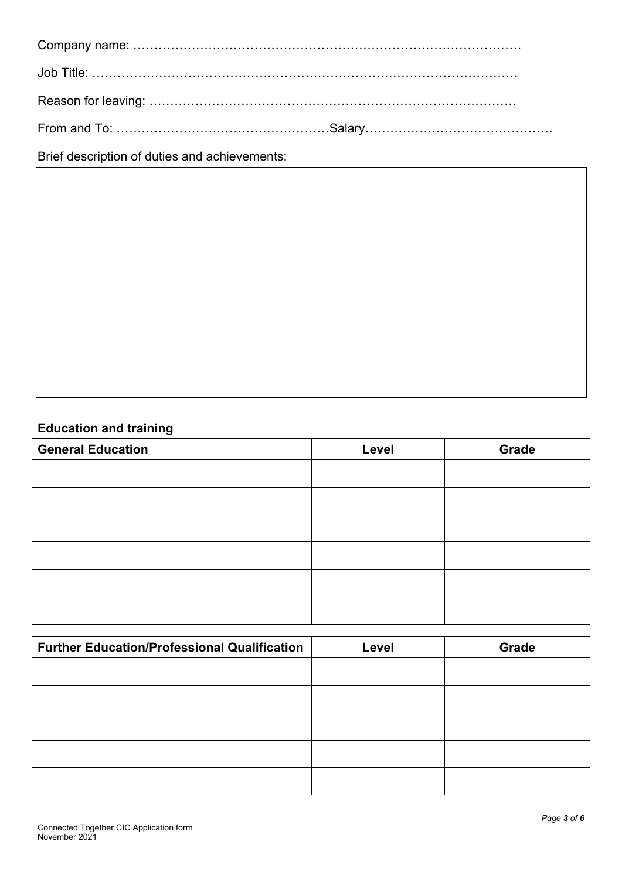Brief description of duties and achievements:

# **Education and training**

| <b>General Education</b> | Level | Grade |
|--------------------------|-------|-------|
|                          |       |       |
|                          |       |       |
|                          |       |       |
|                          |       |       |
|                          |       |       |
|                          |       |       |

| <b>Further Education/Professional Qualification</b> | Level | Grade |
|-----------------------------------------------------|-------|-------|
|                                                     |       |       |
|                                                     |       |       |
|                                                     |       |       |
|                                                     |       |       |
|                                                     |       |       |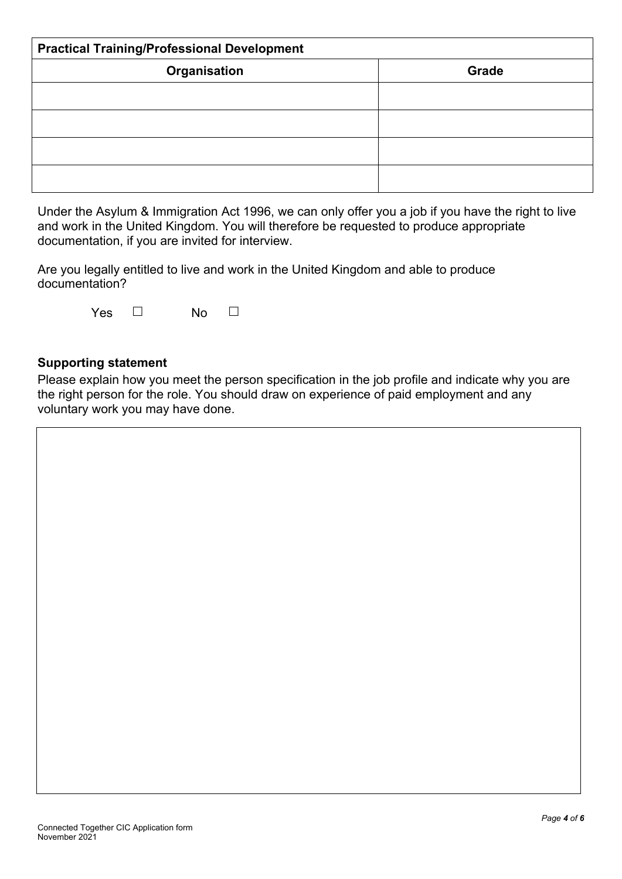| <b>Practical Training/Professional Development</b> |       |  |  |
|----------------------------------------------------|-------|--|--|
| Organisation                                       | Grade |  |  |
|                                                    |       |  |  |
|                                                    |       |  |  |
|                                                    |       |  |  |
|                                                    |       |  |  |

Under the Asylum & Immigration Act 1996, we can only offer you a job if you have the right to live and work in the United Kingdom. You will therefore be requested to produce appropriate documentation, if you are invited for interview.

Are you legally entitled to live and work in the United Kingdom and able to produce documentation?

| Yes | No |
|-----|----|
|-----|----|

### **Supporting statement**

Please explain how you meet the person specification in the job profile and indicate why you are the right person for the role. You should draw on experience of paid employment and any voluntary work you may have done.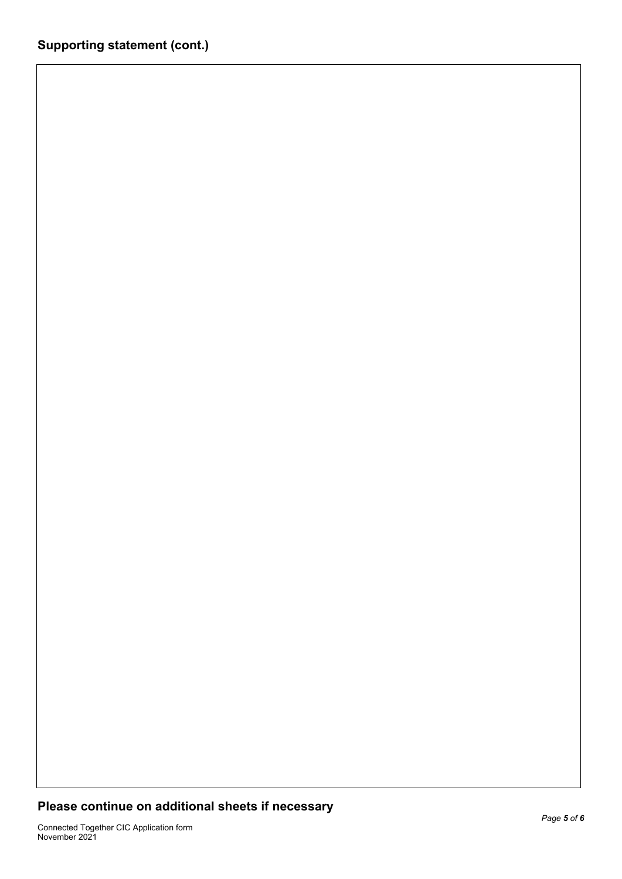## **Please continue on additional sheets if necessary**